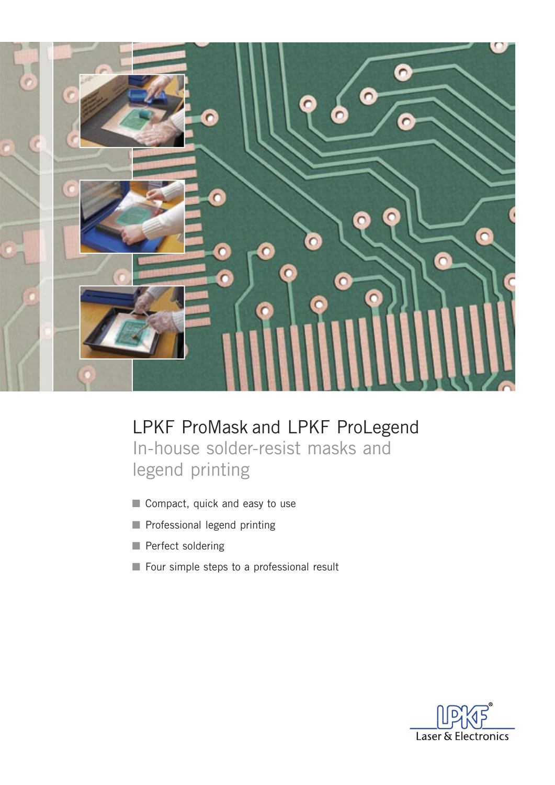

LPKF ProMask and LPKF ProLegend In-house solder-resist masks and legend printing

- Compact, quick and easy to use
- Professional legend printing
- Perfect soldering
- Four simple steps to a professional result

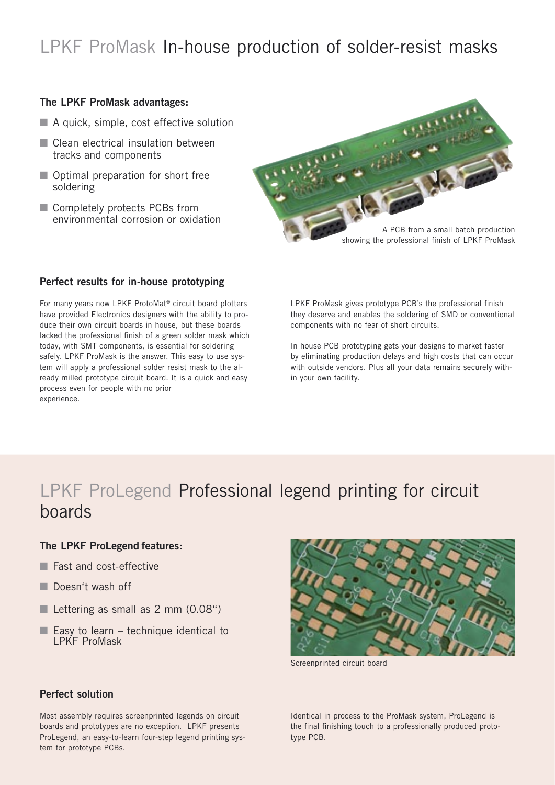# LPKF ProMask In-house production of solder-resist masks

### **The LPKF ProMask advantages:**

- $\blacksquare$  A quick, simple, cost effective solution
- Clean electrical insulation between tracks and components
- Optimal preparation for short free soldering
- Completely protects PCBs from environmental corrosion or oxidation



#### **Perfect results for in-house prototyping**

For many years now LPKF ProtoMat® circuit board plotters have provided Electronics designers with the ability to produce their own circuit boards in house, but these boards lacked the professional finish of a green solder mask which today, with SMT components, is essential for soldering safely. LPKF ProMask is the answer. This easy to use system will apply a professional solder resist mask to the already milled prototype circuit board. It is a quick and easy process even for people with no prior experience.

LPKF ProMask gives prototype PCB's the professional finish they deserve and enables the soldering of SMD or conventional components with no fear of short circuits.

In house PCB prototyping gets your designs to market faster by eliminating production delays and high costs that can occur with outside vendors. Plus all your data remains securely within your own facility.

# LPKF ProLegend Professional legend printing for circuit boards

#### **The LPKF ProLegend features:**

- Fast and cost-effective
- Doesn't wash off
- Lettering as small as 2 mm (0.08")
- $\blacksquare$  Easy to learn technique identical to LPKF ProMask



Screenprinted circuit board

Identical in process to the ProMask system, ProLegend is the final finishing touch to a professionally produced prototype PCB.

## **Perfect solution**

Most assembly requires screenprinted legends on circuit boards and prototypes are no exception. LPKF presents ProLegend, an easy-to-learn four-step legend printing system for prototype PCBs.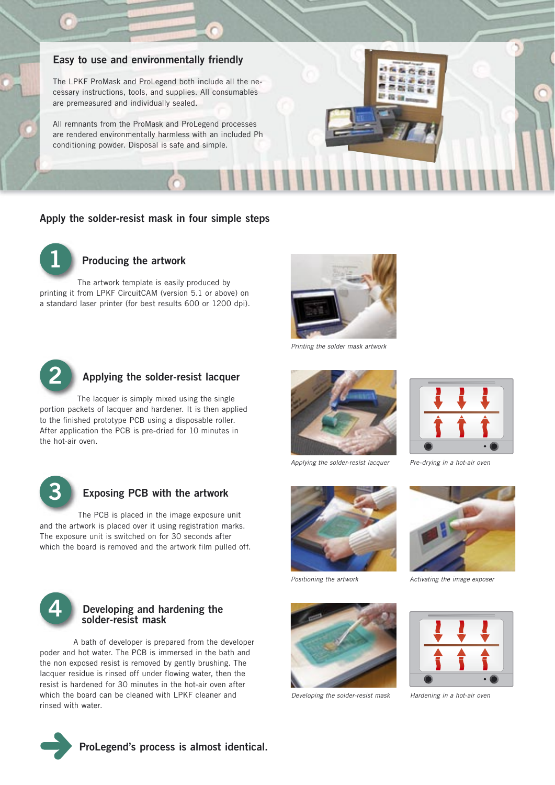## **Easy to use and environmentally friendly**

The LPKF ProMask and ProLegend both include all the necessary instructions, tools, and supplies. All consumables are premeasured and individually sealed.

All remnants from the ProMask and ProLegend processes are rendered environmentally harmless with an included Ph conditioning powder. Disposal is safe and simple.

#### **Apply the solder-resist mask in four simple steps**



## **Producing the artwork**

The artwork template is easily produced by printing it from LPKF CircuitCAM (version 5.1 or above) on a standard laser printer (for best results 600 or 1200 dpi).



Printing the solder mask artwork



#### **Applying the solder-resist lacquer**

The lacquer is simply mixed using the single portion packets of lacquer and hardener. It is then applied to the finished prototype PCB using a disposable roller. After application the PCB is pre-dried for 10 minutes in the hot-air oven.



#### **Exposing PCB with the artwork**

The PCB is placed in the image exposure unit and the artwork is placed over it using registration marks. The exposure unit is switched on for 30 seconds after which the board is removed and the artwork film pulled off.



#### **4 Developing and hardening the solder-resist mask**

 A bath of developer is prepared from the developer poder and hot water. The PCB is immersed in the bath and the non exposed resist is removed by gently brushing. The lacquer residue is rinsed off under flowing water, then the resist is hardened for 30 minutes in the hot-air oven after which the board can be cleaned with LPKF cleaner and rinsed with water.



Applying the solder-resist lacquer



Positioning the artwork



Developing the solder-resist mask



Pre-drying in a hot-air oven

 $661$ 日本語の時 **REALL** 20 cm



Activating the image exposer



Hardening in a hot-air oven